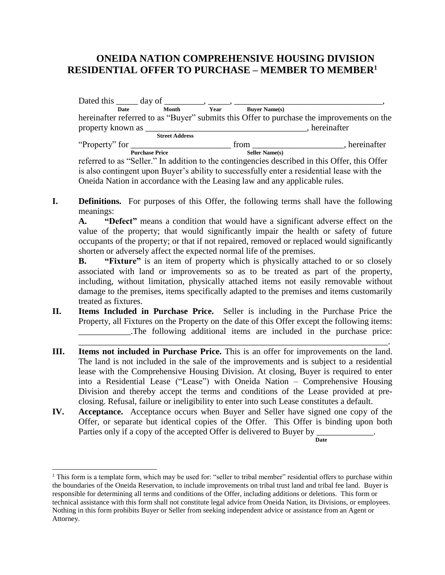## **ONEIDA NATION COMPREHENSIVE HOUSING DIVISION RESIDENTIAL OFFER TO PURCHASE – MEMBER TO MEMBER<sup>1</sup>**

| Dated this $\_\_\_\_$ day of $\_\_\_\_\_\_$ , $\_\_\_\_\_\_\_\_\_\_\_\_\_$                                                                                                                                                          |                       |      |                       |                                                                                                                                                                                                                                                                                                                                                                                                                                                                                                                               |
|-------------------------------------------------------------------------------------------------------------------------------------------------------------------------------------------------------------------------------------|-----------------------|------|-----------------------|-------------------------------------------------------------------------------------------------------------------------------------------------------------------------------------------------------------------------------------------------------------------------------------------------------------------------------------------------------------------------------------------------------------------------------------------------------------------------------------------------------------------------------|
| Date                                                                                                                                                                                                                                | Month                 | Year | <b>Buver Name(s)</b>  |                                                                                                                                                                                                                                                                                                                                                                                                                                                                                                                               |
|                                                                                                                                                                                                                                     |                       |      |                       | hereinafter referred to as "Buyer" submits this Offer to purchase the improvements on the                                                                                                                                                                                                                                                                                                                                                                                                                                     |
| property known as <u>equal</u> that the same of the same of the same of the same of the same of the same of the same of the same of the same of the same of the same of the same of the same of the same of the same of the same of |                       |      |                       | , hereinafter                                                                                                                                                                                                                                                                                                                                                                                                                                                                                                                 |
|                                                                                                                                                                                                                                     | <b>Street Address</b> |      |                       |                                                                                                                                                                                                                                                                                                                                                                                                                                                                                                                               |
| "Property" for $\qquad \qquad$                                                                                                                                                                                                      |                       |      | from                  | , hereinafter                                                                                                                                                                                                                                                                                                                                                                                                                                                                                                                 |
|                                                                                                                                                                                                                                     | <b>Purchase Price</b> |      | <b>Seller Name(s)</b> |                                                                                                                                                                                                                                                                                                                                                                                                                                                                                                                               |
|                                                                                                                                                                                                                                     |                       |      |                       | referred to as "Seller." In addition to the contingencies described in this Offer, this Offer<br>$\mathbf{r} = \mathbf{r} = \mathbf{r} = \mathbf{r} = \mathbf{r} = \mathbf{r} = \mathbf{r} = \mathbf{r} = \mathbf{r} = \mathbf{r} = \mathbf{r} = \mathbf{r} = \mathbf{r} = \mathbf{r} = \mathbf{r} = \mathbf{r} = \mathbf{r} = \mathbf{r} = \mathbf{r} = \mathbf{r} = \mathbf{r} = \mathbf{r} = \mathbf{r} = \mathbf{r} = \mathbf{r} = \mathbf{r} = \mathbf{r} = \mathbf{r} = \mathbf{r} = \mathbf{r} = \mathbf{r} = \mathbf$ |

is also contingent upon Buyer's ability to successfully enter a residential lease with the Oneida Nation in accordance with the Leasing law and any applicable rules.

**I. Definitions.** For purposes of this Offer, the following terms shall have the following meanings:

**A. "Defect"** means a condition that would have a significant adverse effect on the value of the property; that would significantly impair the health or safety of future occupants of the property; or that if not repaired, removed or replaced would significantly shorten or adversely affect the expected normal life of the premises.

**B. "Fixture"** is an item of property which is physically attached to or so closely associated with land or improvements so as to be treated as part of the property, including, without limitation, physically attached items not easily removable without damage to the premises, items specifically adapted to the premises and items customarily treated as fixtures.

\_\_\_\_\_\_\_\_\_\_\_\_\_\_\_\_\_\_\_\_\_\_\_\_\_\_\_\_\_\_\_\_\_\_\_\_\_\_\_\_\_\_\_\_\_\_\_\_\_\_\_\_\_\_\_\_\_\_\_\_\_\_\_\_\_\_\_\_\_\_\_.

- **II. Items Included in Purchase Price.** Seller is including in the Purchase Price the Property, all Fixtures on the Property on the date of this Offer except the following items: \_\_\_\_\_\_\_\_\_\_\_\_.The following additional items are included in the purchase price:
- **III. Items not included in Purchase Price.** This is an offer for improvements on the land. The land is not included in the sale of the improvements and is subject to a residential lease with the Comprehensive Housing Division. At closing, Buyer is required to enter into a Residential Lease ("Lease") with Oneida Nation – Comprehensive Housing Division and thereby accept the terms and conditions of the Lease provided at preclosing. Refusal, failure or ineligibility to enter into such Lease constitutes a default.
- **IV. Acceptance.** Acceptance occurs when Buyer and Seller have signed one copy of the Offer, or separate but identical copies of the Offer. This Offer is binding upon both Parties only if a copy of the accepted Offer is delivered to Buyer by \_\_\_\_\_\_\_\_\_\_\_\_.

**Date**

 $\overline{a}$ 

<sup>&</sup>lt;sup>1</sup> This form is a template form, which may be used for: "seller to tribal member" residential offers to purchase within the boundaries of the Oneida Reservation, to include improvements on tribal trust land and tribal fee land. Buyer is responsible for determining all terms and conditions of the Offer, including additions or deletions. This form or technical assistance with this form shall not constitute legal advice from Oneida Nation, its Divisions, or employees. Nothing in this form prohibits Buyer or Seller from seeking independent advice or assistance from an Agent or Attorney.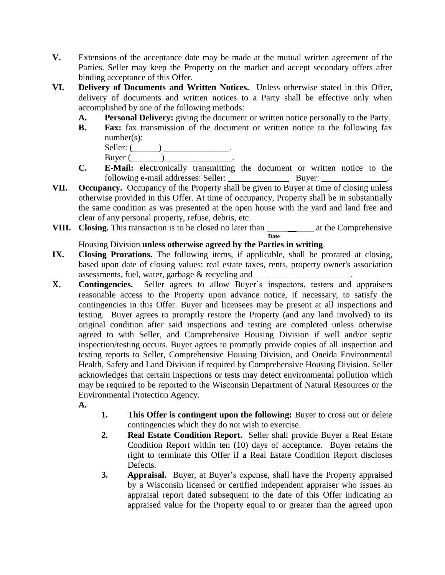- **V.** Extensions of the acceptance date may be made at the mutual written agreement of the Parties. Seller may keep the Property on the market and accept secondary offers after binding acceptance of this Offer.
- **VI. Delivery of Documents and Written Notices.** Unless otherwise stated in this Offer, delivery of documents and written notices to a Party shall be effective only when accomplished by one of the following methods:
	- **A. Personal Delivery:** giving the document or written notice personally to the Party.
	- **B. Fax:** fax transmission of the document or written notice to the following fax number(s):

| Seller: |  |
|---------|--|
| Buyer ( |  |

- **C. E-Mail:** electronically transmitting the document or written notice to the following e-mail addresses: Seller: \_\_\_\_\_\_\_\_\_\_\_\_\_\_ Buyer: \_\_\_\_\_\_\_\_\_\_\_\_\_\_\_.
- **VII. Occupancy.** Occupancy of the Property shall be given to Buyer at time of closing unless otherwise provided in this Offer. At time of occupancy, Property shall be in substantially the same condition as was presented at the open house with the yard and land free and clear of any personal property, refuse, debris, etc.
- **VIII.** Closing. This transaction is to be closed no later than  $\qquad \qquad$  at the Comprehensive **Date**

## Housing Division **unless otherwise agreed by the Parties in writing**.

- **IX. Closing Prorations.** The following items, if applicable, shall be prorated at closing, based upon date of closing values: real estate taxes, rents, property owner's association assessments, fuel, water, garbage  $\&$  recycling and  $\__$
- **X. Contingencies.** Seller agrees to allow Buyer's inspectors, testers and appraisers reasonable access to the Property upon advance notice, if necessary, to satisfy the contingencies in this Offer. Buyer and licensees may be present at all inspections and testing. Buyer agrees to promptly restore the Property (and any land involved) to its original condition after said inspections and testing are completed unless otherwise agreed to with Seller, and Comprehensive Housing Division if well and/or septic inspection/testing occurs. Buyer agrees to promptly provide copies of all inspection and testing reports to Seller, Comprehensive Housing Division, and Oneida Environmental Health, Safety and Land Division if required by Comprehensive Housing Division. Seller acknowledges that certain inspections or tests may detect environmental pollution which may be required to be reported to the Wisconsin Department of Natural Resources or the Environmental Protection Agency.
	- **A.**
- **1. This Offer is contingent upon the following:** Buyer to cross out or delete contingencies which they do not wish to exercise.
- **2. Real Estate Condition Report.** Seller shall provide Buyer a Real Estate Condition Report within ten (10) days of acceptance. Buyer retains the right to terminate this Offer if a Real Estate Condition Report discloses Defects.
- **3. Appraisal.** Buyer, at Buyer's expense, shall have the Property appraised by a Wisconsin licensed or certified independent appraiser who issues an appraisal report dated subsequent to the date of this Offer indicating an appraised value for the Property equal to or greater than the agreed upon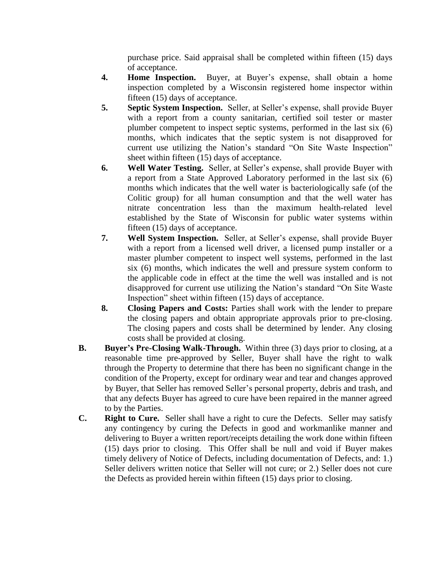purchase price. Said appraisal shall be completed within fifteen (15) days of acceptance.

- **4. Home Inspection.** Buyer, at Buyer's expense, shall obtain a home inspection completed by a Wisconsin registered home inspector within fifteen (15) days of acceptance.
- **5. Septic System Inspection.** Seller, at Seller's expense, shall provide Buyer with a report from a county sanitarian, certified soil tester or master plumber competent to inspect septic systems, performed in the last six (6) months, which indicates that the septic system is not disapproved for current use utilizing the Nation's standard "On Site Waste Inspection" sheet within fifteen (15) days of acceptance.
- **6. Well Water Testing.** Seller, at Seller's expense, shall provide Buyer with a report from a State Approved Laboratory performed in the last six (6) months which indicates that the well water is bacteriologically safe (of the Colitic group) for all human consumption and that the well water has nitrate concentration less than the maximum health-related level established by the State of Wisconsin for public water systems within fifteen (15) days of acceptance.
- **7. Well System Inspection.** Seller, at Seller's expense, shall provide Buyer with a report from a licensed well driver, a licensed pump installer or a master plumber competent to inspect well systems, performed in the last six (6) months, which indicates the well and pressure system conform to the applicable code in effect at the time the well was installed and is not disapproved for current use utilizing the Nation's standard "On Site Waste Inspection" sheet within fifteen (15) days of acceptance.
- **8. Closing Papers and Costs:** Parties shall work with the lender to prepare the closing papers and obtain appropriate approvals prior to pre-closing. The closing papers and costs shall be determined by lender. Any closing costs shall be provided at closing.
- **B. Buyer's Pre-Closing Walk-Through.** Within three (3) days prior to closing, at a reasonable time pre-approved by Seller, Buyer shall have the right to walk through the Property to determine that there has been no significant change in the condition of the Property, except for ordinary wear and tear and changes approved by Buyer, that Seller has removed Seller's personal property, debris and trash, and that any defects Buyer has agreed to cure have been repaired in the manner agreed to by the Parties.
- **C. Right to Cure.** Seller shall have a right to cure the Defects. Seller may satisfy any contingency by curing the Defects in good and workmanlike manner and delivering to Buyer a written report/receipts detailing the work done within fifteen (15) days prior to closing. This Offer shall be null and void if Buyer makes timely delivery of Notice of Defects, including documentation of Defects, and: 1.) Seller delivers written notice that Seller will not cure; or 2.) Seller does not cure the Defects as provided herein within fifteen (15) days prior to closing.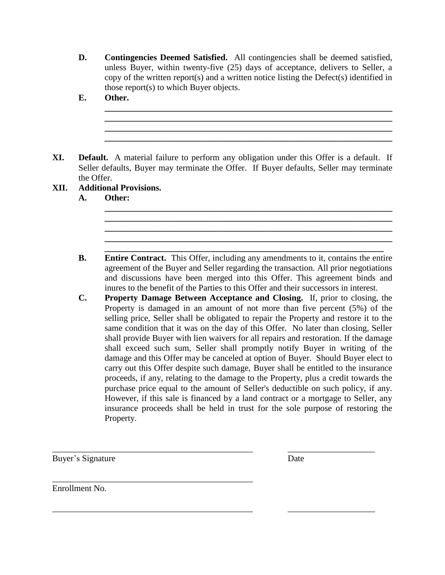**D. Contingencies Deemed Satisfied.** All contingencies shall be deemed satisfied, unless Buyer, within twenty-five (25) days of acceptance, delivers to Seller, a copy of the written report(s) and a written notice listing the Defect(s) identified in those report(s) to which Buyer objects.

**\_\_\_\_\_\_\_\_\_\_\_\_\_\_\_\_\_\_\_\_\_\_\_\_\_\_\_\_\_\_\_\_\_\_\_\_\_\_\_\_\_\_\_\_\_\_\_\_\_\_\_\_\_\_\_\_\_\_\_\_\_\_\_\_\_\_ \_\_\_\_\_\_\_\_\_\_\_\_\_\_\_\_\_\_\_\_\_\_\_\_\_\_\_\_\_\_\_\_\_\_\_\_\_\_\_\_\_\_\_\_\_\_\_\_\_\_\_\_\_\_\_\_\_\_\_\_\_\_\_\_\_\_ \_\_\_\_\_\_\_\_\_\_\_\_\_\_\_\_\_\_\_\_\_\_\_\_\_\_\_\_\_\_\_\_\_\_\_\_\_\_\_\_\_\_\_\_\_\_\_\_\_\_\_\_\_\_\_\_\_\_\_\_\_\_\_\_\_\_ \_\_\_\_\_\_\_\_\_\_\_\_\_\_\_\_\_\_\_\_\_\_\_\_\_\_\_\_\_\_\_\_\_\_\_\_\_\_\_\_\_\_\_\_\_\_\_\_\_\_\_\_\_\_\_\_\_\_\_\_\_\_\_\_\_\_**

**\_\_\_\_\_\_\_\_\_\_\_\_\_\_\_\_\_\_\_\_\_\_\_\_\_\_\_\_\_\_\_\_\_\_\_\_\_\_\_\_\_\_\_\_\_\_\_\_\_\_\_\_\_\_\_\_\_\_\_\_\_\_\_\_\_\_ \_\_\_\_\_\_\_\_\_\_\_\_\_\_\_\_\_\_\_\_\_\_\_\_\_\_\_\_\_\_\_\_\_\_\_\_\_\_\_\_\_\_\_\_\_\_\_\_\_\_\_\_\_\_\_\_\_\_\_\_\_\_\_\_\_\_ \_\_\_\_\_\_\_\_\_\_\_\_\_\_\_\_\_\_\_\_\_\_\_\_\_\_\_\_\_\_\_\_\_\_\_\_\_\_\_\_\_\_\_\_\_\_\_\_\_\_\_\_\_\_\_\_\_\_\_\_\_\_\_\_\_\_**

**\_\_\_\_\_\_\_\_\_\_\_\_\_\_\_\_\_\_\_\_\_\_\_\_\_\_\_\_\_\_\_\_\_\_\_\_\_\_\_\_\_\_\_\_\_\_\_\_\_\_\_\_\_\_\_\_\_\_\_\_\_\_\_\_**

**\_\_\_\_\_\_\_\_\_\_\_\_\_\_\_\_\_\_\_\_\_\_\_\_\_\_\_\_\_\_\_\_\_\_\_\_\_\_\_\_\_\_\_\_\_\_\_\_\_\_\_\_\_\_\_\_\_\_\_\_\_\_\_\_\_\_**

- **E. Other.**
- **XI. Default.** A material failure to perform any obligation under this Offer is a default. If Seller defaults, Buyer may terminate the Offer. If Buyer defaults, Seller may terminate the Offer.
- **XII. Additional Provisions.** 
	- **A. Other:**
	- **B. Entire Contract.** This Offer, including any amendments to it, contains the entire agreement of the Buyer and Seller regarding the transaction. All prior negotiations and discussions have been merged into this Offer. This agreement binds and inures to the benefit of the Parties to this Offer and their successors in interest.
	- **C. Property Damage Between Acceptance and Closing.** If, prior to closing, the Property is damaged in an amount of not more than five percent (5%) of the selling price, Seller shall be obligated to repair the Property and restore it to the same condition that it was on the day of this Offer. No later than closing, Seller shall provide Buyer with lien waivers for all repairs and restoration. If the damage shall exceed such sum, Seller shall promptly notify Buyer in writing of the damage and this Offer may be canceled at option of Buyer. Should Buyer elect to carry out this Offer despite such damage, Buyer shall be entitled to the insurance proceeds, if any, relating to the damage to the Property, plus a credit towards the purchase price equal to the amount of Seller's deductible on such policy, if any. However, if this sale is financed by a land contract or a mortgage to Seller, any insurance proceeds shall be held in trust for the sole purpose of restoring the Property.

\_\_\_\_\_\_\_\_\_\_\_\_\_\_\_\_\_\_\_\_\_\_\_\_\_\_\_\_\_\_\_\_\_\_\_\_\_\_\_\_\_\_\_\_\_\_ \_\_\_\_\_\_\_\_\_\_\_\_\_\_\_\_\_\_\_\_

\_\_\_\_\_\_\_\_\_\_\_\_\_\_\_\_\_\_\_\_\_\_\_\_\_\_\_\_\_\_\_\_\_\_\_\_\_\_\_\_\_\_\_\_\_\_ \_\_\_\_\_\_\_\_\_\_\_\_\_\_\_\_\_\_\_\_

\_\_\_\_\_\_\_\_\_\_\_\_\_\_\_\_\_\_\_\_\_\_\_\_\_\_\_\_\_\_\_\_\_\_\_\_\_\_\_\_\_\_\_\_\_\_

Buyer's Signature Date

Enrollment No.